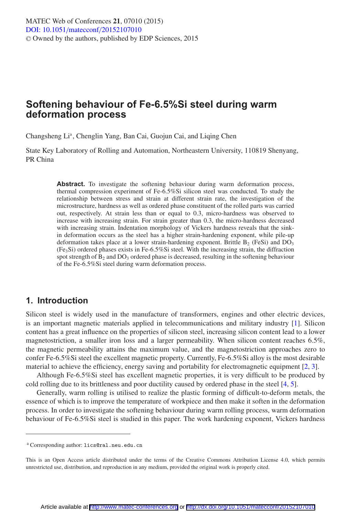# **Softening behaviour of Fe-6.5%Si steel during warm deformation process**

Changsheng Li<sup>a</sup>, Chenglin Yang, Ban Cai, Guojun Cai, and Liqing Chen

State Key Laboratory of Rolling and Automation, Northeastern University, 110819 Shenyang, PR China

> **Abstract.** To investigate the softening behaviour during warm deformation process, thermal compression experiment of Fe-6.5%Si silicon steel was conducted. To study the relationship between stress and strain at different strain rate, the investigation of the microstructure, hardness as well as ordered phase constituent of the rolled parts was carried out, respectively. At strain less than or equal to 0.3, micro-hardness was observed to increase with increasing strain. For strain greater than 0.3, the micro-hardness decreased with increasing strain. Indentation morphology of Vickers hardness reveals that the sinkin deformation occurs as the steel has a higher strain-hardening exponent, while pile-up deformation takes place at a lower strain-hardening exponent. Brittle  $B_2$  (FeSi) and DO<sub>3</sub>  $(F_{\text{e}_3} \text{Si})$  ordered phases exists in Fe-6.5%Si steel. With the increasing strain, the diffraction spot strength of  $B_2$  and  $DO_3$  ordered phase is decreased, resulting in the softening behaviour of the Fe-6.5%Si steel during warm deformation process.

### **1. Introduction**

Silicon steel is widely used in the manufacture of transformers, engines and other electric devices, is an important magnetic materials applied in telecommunications and military industry [\[1\]](#page-5-0). Silicon content has a great influence on the properties of silicon steel, increasing silicon content lead to a lower magnetostriction, a smaller iron loss and a larger permeability. When silicon content reaches 6.5%, the magnetic permeability attains the maximum value, and the magnetostriction approaches zero to confer Fe-6.5%Si steel the excellent magnetic property. Currently, Fe-6.5%Si alloy is the most desirable material to achieve the efficiency, energy saving and portability for electromagnetic equipment [\[2,](#page-5-1) [3\]](#page-5-2).

Although Fe-6.5%Si steel has excellent magnetic properties, it is very difficult to be produced by cold rolling due to its brittleness and poor ductility caused by ordered phase in the steel [\[4](#page-5-3), [5](#page-5-4)].

Generally, warm rolling is utilised to realize the plastic forming of difficult-to-deform metals, the essence of which is to improve the temperature of workpiece and then make it soften in the deformation process. In order to investigate the softening behaviour during warm rolling process, warm deformation behaviour of Fe-6.5%Si steel is studied in this paper. The work hardening exponent, Vickers hardness

<sup>a</sup> Corresponding author: lics@ral.neu.edu.cn

This is an Open Access article distributed under the terms of the Creative Commons Attribution License 4.0, which permits unrestricted use, distribution, and reproduction in any medium, provided the original work is properly cited.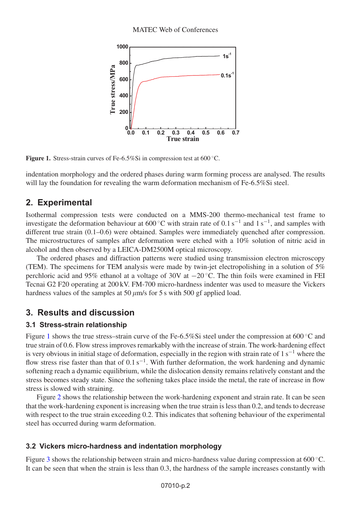

<span id="page-1-0"></span>**Figure 1.** Stress-strain curves of Fe-6.5%Si in compression test at 600 ◦C.

indentation morphology and the ordered phases during warm forming process are analysed. The results will lay the foundation for revealing the warm deformation mechanism of Fe-6.5%Si steel.

# **2. Experimental**

Isothermal compression tests were conducted on a MMS-200 thermo-mechanical test frame to investigate the deformation behaviour at 600 ◦C with strain rate of 0.1 s−<sup>1</sup> and 1 s−1, and samples with different true strain (0.1–0.6) were obtained. Samples were immediately quenched after compression. The microstructures of samples after deformation were etched with a 10% solution of nitric acid in alcohol and then observed by a LEICA-DM2500M optical microscopy.

The ordered phases and diffraction patterns were studied using transmission electron microscopy (TEM). The specimens for TEM analysis were made by twin-jet electropolishing in a solution of 5% perchloric acid and 95% ethanol at a voltage of 30V at −20 ◦C. The thin foils were examined in FEI Tecnai G2 F20 operating at 200 kV. FM-700 micro-hardness indenter was used to measure the Vickers hardness values of the samples at 50  $\mu$ m/s for 5 s with 500 gf applied load.

# **3. Results and discussion**

#### **3.1 Stress-strain relationship**

Figure [1](#page-1-0) shows the true stress–strain curve of the Fe-6.5%Si steel under the compression at 600 °C and true strain of 0.6. Flow stress improves remarkably with the increase of strain. The work-hardening effect is very obvious in initial stage of deformation, especially in the region with strain rate of  $1 s^{-1}$  where the flow stress rise faster than that of  $0.1$  s<sup>-1</sup>. With further deformation, the work hardening and dynamic softening reach a dynamic equilibrium, while the dislocation density remains relatively constant and the stress becomes steady state. Since the softening takes place inside the metal, the rate of increase in flow stress is slowed with straining.

Figure [2](#page-2-0) shows the relationship between the work-hardening exponent and strain rate. It can be seen that the work-hardening exponent is increasing when the true strain is less than 0.2, and tends to decrease with respect to the true strain exceeding 0.2. This indicates that softening behaviour of the experimental steel has occurred during warm deformation.

#### **3.2 Vickers micro-hardness and indentation morphology**

Figure [3](#page-2-1) shows the relationship between strain and micro-hardness value during compression at 600 °C. It can be seen that when the strain is less than 0.3, the hardness of the sample increases constantly with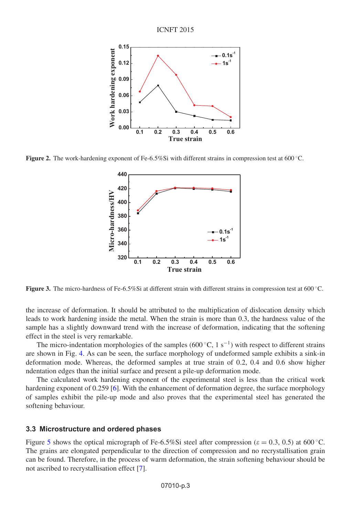

<span id="page-2-1"></span><span id="page-2-0"></span>**Figure 2.** The work-hardening exponent of Fe-6.5%Si with different strains in compression test at 600 °C.



**Figure 3.** The micro-hardness of Fe-6.5%Si at different strain with different strains in compression test at 600 ◦C.

the increase of deformation. It should be attributed to the multiplication of dislocation density which leads to work hardening inside the metal. When the strain is more than 0.3, the hardness value of the sample has a slightly downward trend with the increase of deformation, indicating that the softening effect in the steel is very remarkable.

The micro-indentation morphologies of the samples (600 °C, 1 s<sup>-1</sup>) with respect to different strains are shown in Fig. [4.](#page-3-0) As can be seen, the surface morphology of undeformed sample exhibits a sink-in deformation mode. Whereas, the deformed samples at true strain of 0.2, 0.4 and 0.6 show higher ndentation edges than the initial surface and present a pile-up deformation mode.

The calculated work hardening exponent of the experimental steel is less than the critical work hardening exponent of 0.259 [\[6](#page-5-5)]. With the enhancement of deformation degree, the surface morphology of samples exhibit the pile-up mode and also proves that the experimental steel has generated the softening behaviour.

#### **3.3 Microstructure and ordered phases**

Figure [5](#page-3-1) shows the optical micrograph of Fe-6.5%Si steel after compression ( $\varepsilon = 0.3, 0.5$ ) at 600 °C. The grains are elongated perpendicular to the direction of compression and no recrystallisation grain can be found. Therefore, in the process of warm deformation, the strain softening behaviour should be not ascribed to recrystallisation effect [\[7](#page-5-6)].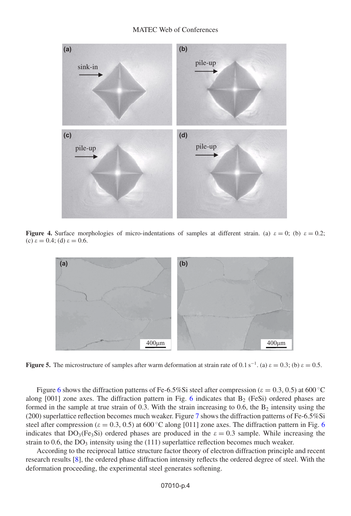<span id="page-3-0"></span>

<span id="page-3-1"></span>**Figure 4.** Surface morphologies of micro-indentations of samples at different strain. (a)  $\varepsilon = 0$ ; (b)  $\varepsilon = 0.2$ ; (c)  $\varepsilon = 0.4$ ; (d)  $\varepsilon = 0.6$ .



**Figure 5.** The microstructure of samples after warm deformation at strain rate of  $0.1 \text{ s}^{-1}$ . (a)  $\varepsilon = 0.3$ ; (b)  $\varepsilon = 0.5$ .

Figure [6](#page-4-0) shows the diffraction patterns of Fe-6.5%Si steel after compression ( $\varepsilon = 0.3, 0.5$ ) at 600 °C along  $[001]$  zone axes. The diffraction pattern in Fig. [6](#page-4-0) indicates that  $B_2$  (FeSi) ordered phases are formed in the sample at true strain of 0.3. With the strain increasing to 0.6, the  $B_2$  intensity using the (200) superlattice reflection becomes much weaker. Figure [7](#page-4-1) shows the diffraction patterns of Fe-6.5%Si steel after compression ( $\varepsilon = 0.3, 0.5$ ) at [6](#page-4-0)00 °C along [011] zone axes. The diffraction pattern in Fig. 6 indicates that  $DO<sub>3</sub>(Fe<sub>3</sub>Si)$  ordered phases are produced in the  $\epsilon = 0.3$  sample. While increasing the strain to  $0.6$ , the  $DO<sub>3</sub>$  intensity using the (111) superlattice reflection becomes much weaker.

According to the reciprocal lattice structure factor theory of electron diffraction principle and recent research results [\[8](#page-5-7)], the ordered phase diffraction intensity reflects the ordered degree of steel. With the deformation proceeding, the experimental steel generates softening.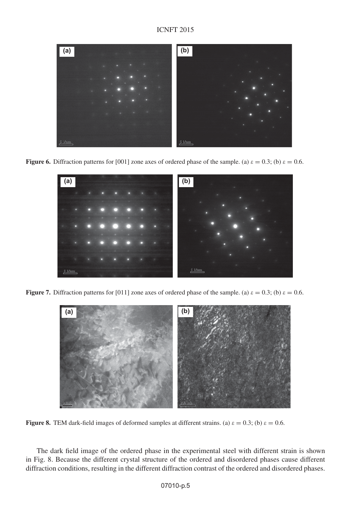<span id="page-4-0"></span>

**Figure 6.** Diffraction patterns for [001] zone axes of ordered phase of the sample. (a)  $\varepsilon = 0.3$ ; (b)  $\varepsilon = 0.6$ .



<span id="page-4-1"></span>**Figure 7.** Diffraction patterns for [011] zone axes of ordered phase of the sample. (a)  $\varepsilon = 0.3$ ; (b)  $\varepsilon = 0.6$ .



**Figure 8.** TEM dark-field images of deformed samples at different strains. (a)  $\varepsilon = 0.3$ ; (b)  $\varepsilon = 0.6$ .

The dark field image of the ordered phase in the experimental steel with different strain is shown in Fig. 8. Because the different crystal structure of the ordered and disordered phases cause different diffraction conditions, resulting in the different diffraction contrast of the ordered and disordered phases.